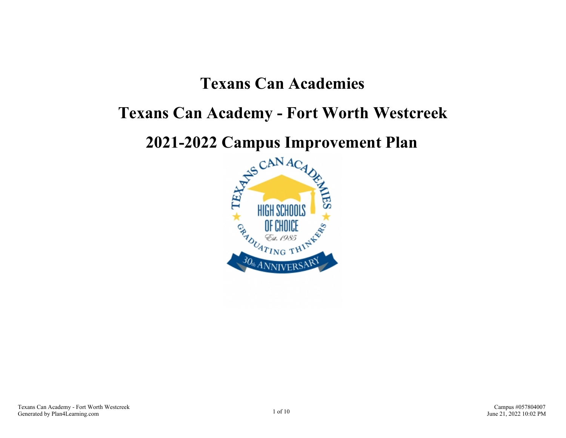## **Texans Can Academies**

## **Texans Can Academy - Fort Worth Westcreek**

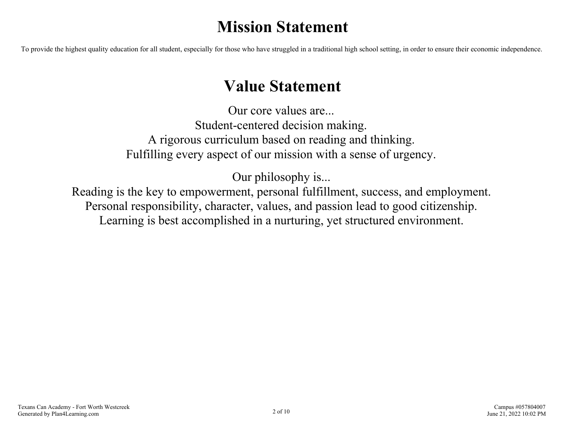## **Mission Statement**

To provide the highest quality education for all student, especially for those who have struggled in a traditional high school setting, in order to ensure their economic independence.

## **Value Statement**

Our core values are... Student-centered decision making. A rigorous curriculum based on reading and thinking. Fulfilling every aspect of our mission with a sense of urgency.

Our philosophy is...

Reading is the key to empowerment, personal fulfillment, success, and employment. Personal responsibility, character, values, and passion lead to good citizenship. Learning is best accomplished in a nurturing, yet structured environment.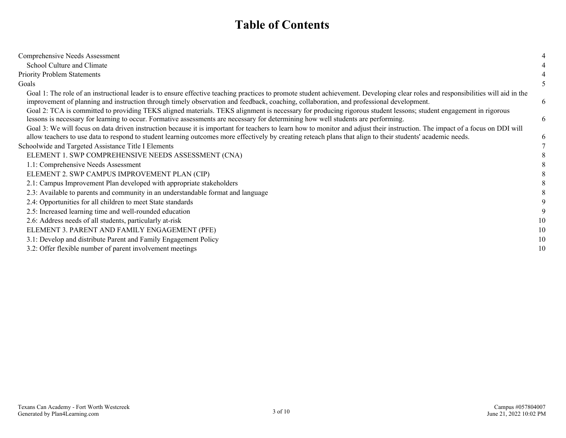### **Table of Contents**

| Comprehensive Needs Assessment                                                                                                                                                                                                                                                                                                               |    |
|----------------------------------------------------------------------------------------------------------------------------------------------------------------------------------------------------------------------------------------------------------------------------------------------------------------------------------------------|----|
| School Culture and Climate                                                                                                                                                                                                                                                                                                                   |    |
| <b>Priority Problem Statements</b>                                                                                                                                                                                                                                                                                                           |    |
| Goals                                                                                                                                                                                                                                                                                                                                        | 5  |
| Goal 1: The role of an instructional leader is to ensure effective teaching practices to promote student achievement. Developing clear roles and responsibilities will aid in the<br>improvement of planning and instruction through timely observation and feedback, coaching, collaboration, and professional development.                 | 6  |
| Goal 2: TCA is committed to providing TEKS aligned materials. TEKS alignment is necessary for producing rigorous student lessons; student engagement in rigorous<br>lessons is necessary for learning to occur. Formative assessments are necessary for determining how well students are performing.                                        | 6  |
| Goal 3: We will focus on data driven instruction because it is important for teachers to learn how to monitor and adjust their instruction. The impact of a focus on DDI will<br>allow teachers to use data to respond to student learning outcomes more effectively by creating reteach plans that align to their students' academic needs. | 6  |
| Schoolwide and Targeted Assistance Title I Elements                                                                                                                                                                                                                                                                                          |    |
| ELEMENT 1. SWP COMPREHENSIVE NEEDS ASSESSMENT (CNA)                                                                                                                                                                                                                                                                                          |    |
| 1.1: Comprehensive Needs Assessment                                                                                                                                                                                                                                                                                                          |    |
| ELEMENT 2. SWP CAMPUS IMPROVEMENT PLAN (CIP)                                                                                                                                                                                                                                                                                                 |    |
| 2.1: Campus Improvement Plan developed with appropriate stakeholders                                                                                                                                                                                                                                                                         |    |
| 2.3: Available to parents and community in an understandable format and language                                                                                                                                                                                                                                                             |    |
| 2.4: Opportunities for all children to meet State standards                                                                                                                                                                                                                                                                                  |    |
| 2.5: Increased learning time and well-rounded education                                                                                                                                                                                                                                                                                      |    |
| 2.6: Address needs of all students, particularly at-risk                                                                                                                                                                                                                                                                                     | 10 |
| ELEMENT 3. PARENT AND FAMILY ENGAGEMENT (PFE)                                                                                                                                                                                                                                                                                                | 10 |
| 3.1: Develop and distribute Parent and Family Engagement Policy                                                                                                                                                                                                                                                                              | 10 |
| 3.2: Offer flexible number of parent involvement meetings                                                                                                                                                                                                                                                                                    | 10 |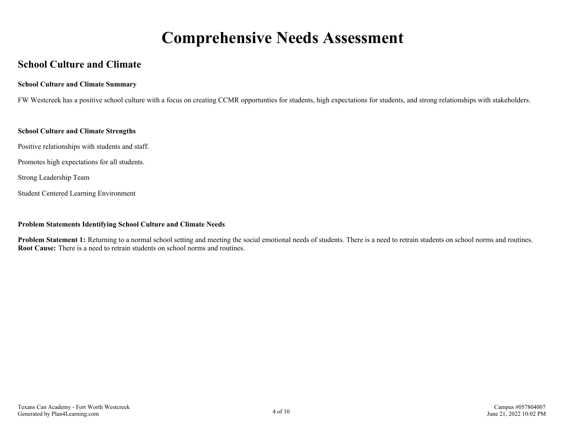## **Comprehensive Needs Assessment**

#### <span id="page-3-0"></span>**School Culture and Climate**

#### **School Culture and Climate Summary**

FW Westcreek has a positive school culture with a focus on creating CCMR opportunties for students, high expectations for students, and strong relationships with stakeholders.

#### **School Culture and Climate Strengths**

Positive relationships with students and staff.

Promotes high expectations for all students.

Strong Leadership Team

Student Centered Learning Environment

#### **Problem Statements Identifying School Culture and Climate Needs**

**Problem Statement 1:** Returning to a normal school setting and meeting the social emotional needs of students. There is a need to retrain students on school norms and routines. **Root Cause:** There is a need to retrain students on school norms and routines.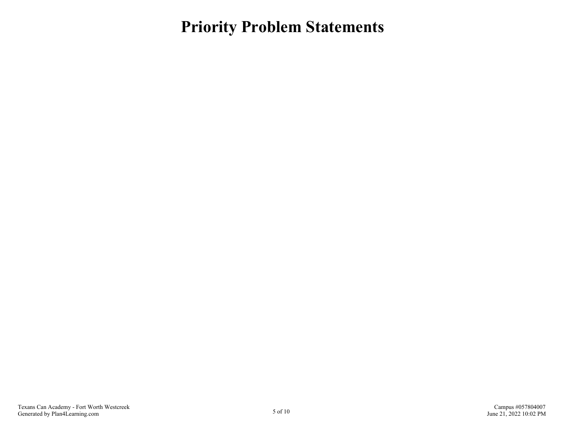<span id="page-4-0"></span>**Priority Problem Statements**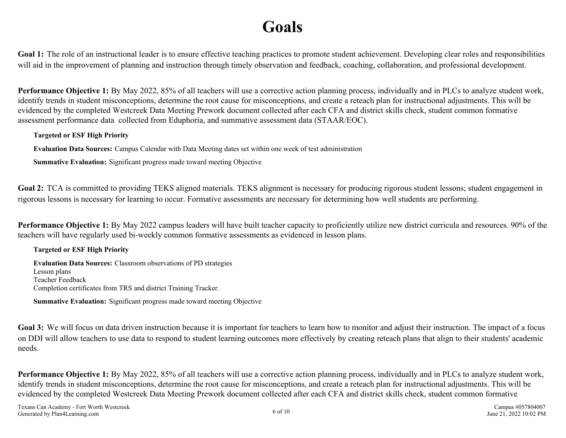# **Goals**

<span id="page-5-0"></span>Goal 1: The role of an instructional leader is to ensure effective teaching practices to promote student achievement. Developing clear roles and responsibilities will aid in the improvement of planning and instruction through timely observation and feedback, coaching, collaboration, and professional development.

**Performance Objective 1:** By May 2022, 85% of all teachers will use a corrective action planning process, individually and in PLCs to analyze student work, identify trends in student misconceptions, determine the root cause for misconceptions, and create a reteach plan for instructional adjustments. This will be evidenced by the completed Westcreek Data Meeting Prework document collected after each CFA and district skills check, student common formative assessment performance data collected from Eduphoria, and summative assessment data (STAAR/EOC).

#### **Targeted or ESF High Priority**

**Evaluation Data Sources:** Campus Calendar with Data Meeting dates set within one week of test administration

**Summative Evaluation:** Significant progress made toward meeting Objective

Goal 2: TCA is committed to providing TEKS aligned materials. TEKS alignment is necessary for producing rigorous student lessons; student engagement in rigorous lessons is necessary for learning to occur. Formative assessments are necessary for determining how well students are performing.

**Performance Objective 1:** By May 2022 campus leaders will have built teacher capacity to proficiently utilize new district curricula and resources. 90% of the teachers will have regularly used bi-weekly common formative assessments as evidenced in lesson plans.

#### **Targeted or ESF High Priority**

**Evaluation Data Sources:** Classroom observations of PD strategies Lesson plans Teacher Feedback Completion certificates from TRS and district Training Tracker.

**Summative Evaluation:** Significant progress made toward meeting Objective

Goal 3: We will focus on data driven instruction because it is important for teachers to learn how to monitor and adjust their instruction. The impact of a focus on DDI will allow teachers to use data to respond to student learning outcomes more effectively by creating reteach plans that align to their students' academic needs.

**Performance Objective 1:** By May 2022, 85% of all teachers will use a corrective action planning process, individually and in PLCs to analyze student work, identify trends in student misconceptions, determine the root cause for misconceptions, and create a reteach plan for instructional adjustments. This will be evidenced by the completed Westcreek Data Meeting Prework document collected after each CFA and district skills check, student common formative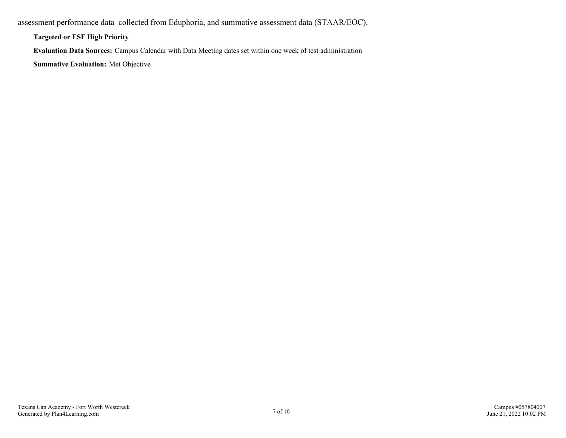assessment performance data collected from Eduphoria, and summative assessment data (STAAR/EOC).

**Targeted or ESF High Priority**

**Evaluation Data Sources:** Campus Calendar with Data Meeting dates set within one week of test administration

**Summative Evaluation:** Met Objective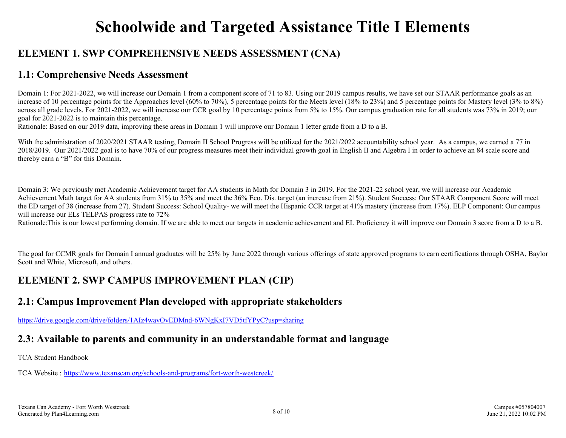## **Schoolwide and Targeted Assistance Title I Elements**

### <span id="page-7-0"></span>**ELEMENT 1. SWP COMPREHENSIVE NEEDS ASSESSMENT (CNA)**

#### **1.1: Comprehensive Needs Assessment**

Domain 1: For 2021-2022, we will increase our Domain 1 from a component score of 71 to 83. Using our 2019 campus results, we have set our STAAR performance goals as an increase of 10 percentage points for the Approaches level (60% to 70%), 5 percentage points for the Meets level (18% to 23%) and 5 percentage points for Mastery level (3% to 8%) across all grade levels. For 2021-2022, we will increase our CCR goal by 10 percentage points from 5% to 15%. Our campus graduation rate for all students was 73% in 2019; our goal for 2021-2022 is to maintain this percentage.

Rationale: Based on our 2019 data, improving these areas in Domain 1 will improve our Domain 1 letter grade from a D to a B.

With the administration of 2020/2021 STAAR testing, Domain II School Progress will be utilized for the 2021/2022 accountability school year. As a campus, we earned a 77 in 2018/2019. Our 2021/2022 goal is to have 70% of our progress measures meet their individual growth goal in English II and Algebra I in order to achieve an 84 scale score and thereby earn a "B" for this Domain.

Domain 3: We previously met Academic Achievement target for AA students in Math for Domain 3 in 2019. For the 2021-22 school year, we will increase our Academic Achievement Math target for AA students from 31% to 35% and meet the 36% Eco. Dis. target (an increase from 21%). Student Success: Our STAAR Component Score will meet the ED target of 38 (increase from 27). Student Success: School Quality- we will meet the Hispanic CCR target at 41% mastery (increase from 17%). ELP Component: Our campus will increase our ELs TELPAS progress rate to 72%

Rationale: This is our lowest performing domain. If we are able to meet our targets in academic achievement and EL Proficiency it will improve our Domain 3 score from a D to a B.

The goal for CCMR goals for Domain I annual graduates will be 25% by June 2022 through various offerings of state approved programs to earn certifications through OSHA, Baylor Scott and White, Microsoft, and others.

### **ELEMENT 2. SWP CAMPUS IMPROVEMENT PLAN (CIP)**

### **2.1: Campus Improvement Plan developed with appropriate stakeholders**

<https://drive.google.com/drive/folders/1AIz4wavOvEDMnd-6WNgKxI7VD5tfYPyC?usp=sharing>

### **2.3: Available to parents and community in an understandable format and language**

TCA Student Handbook

TCA Website : <https://www.texanscan.org/schools-and-programs/fort-worth-westcreek/>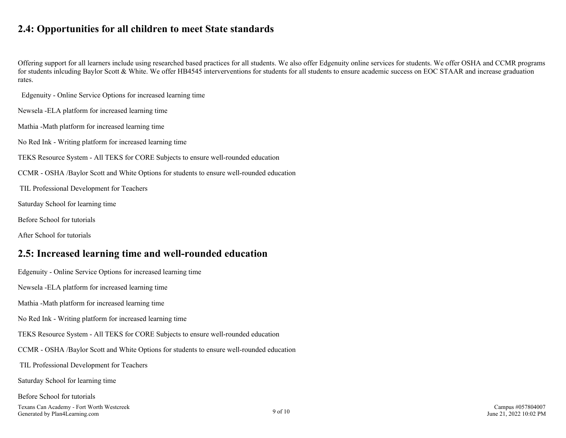#### <span id="page-8-0"></span>**2.4: Opportunities for all children to meet State standards**

Offering support for all learners include using researched based practices for all students. We also offer Edgenuity online services for students. We offer OSHA and CCMR programs for students inlcuding Baylor Scott & White. We offer HB4545 interverventions for students for all students to ensure academic success on EOC STAAR and increase graduation rates.

Edgenuity - Online Service Options for increased learning time

Newsela -ELA platform for increased learning time

Mathia -Math platform for increased learning time

No Red Ink - Writing platform for increased learning time

TEKS Resource System - All TEKS for CORE Subjects to ensure well-rounded education

CCMR - OSHA /Baylor Scott and White Options for students to ensure well-rounded education

TIL Professional Development for Teachers

Saturday School for learning time

Before School for tutorials

After School for tutorials

#### **2.5: Increased learning time and well-rounded education**

Edgenuity - Online Service Options for increased learning time

Newsela -ELA platform for increased learning time

Mathia -Math platform for increased learning time

No Red Ink - Writing platform for increased learning time

TEKS Resource System - All TEKS for CORE Subjects to ensure well-rounded education

CCMR - OSHA /Baylor Scott and White Options for students to ensure well-rounded education

TIL Professional Development for Teachers

Saturday School for learning time

Before School for tutorials

Texans Can Academy - Fort Worth Westcreek Generated by Plan4Learning.com 9 of 10